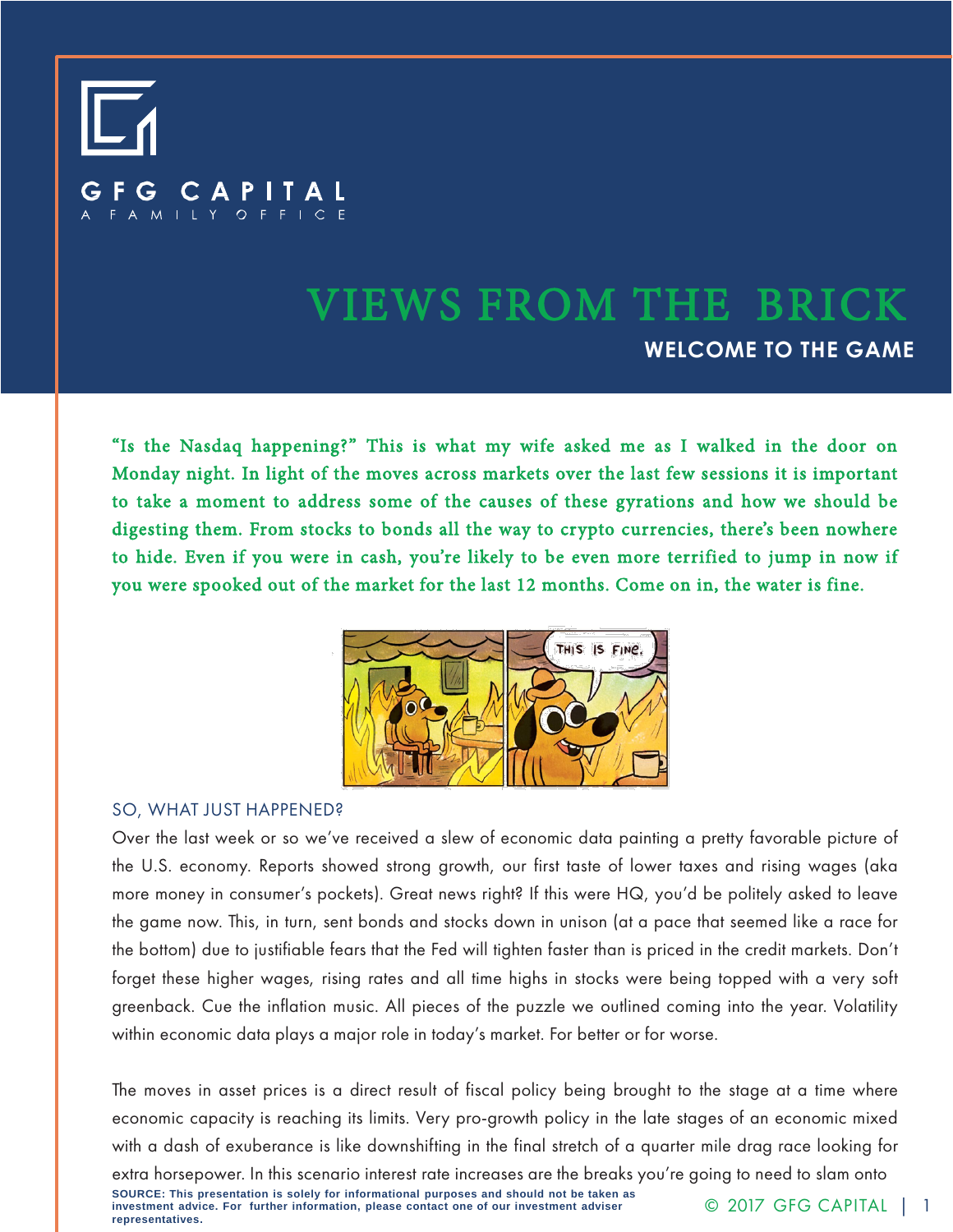

# VIEWS FROM THE BRICK **WELCOME TO THE GAME**

"Is the Nasdaq happening?" This is what my wife asked me as I walked in the door on Monday night. In light of the moves across markets over the last few sessions it is important to take a moment to address some of the causes of these gyrations and how we should be digesting them. From stocks to bonds all the way to crypto currencies, there's been nowhere to hide. Even if you were in cash, you're likely to be even more terrified to jump in now if you were spooked out of the market for the last 12 months. Come on in, the water is fine.



#### SO, WHAT JUST HAPPENED?

Over the last week or so we've received a slew of economic data painting a pretty favorable picture of the U.S. economy. Reports showed strong growth, our first taste of lower taxes and rising wages (aka more money in consumer's pockets). Great news right? If this were HQ, you'd be politely asked to leave the game now. This, in turn, sent bonds and stocks down in unison (at a pace that seemed like a race for the bottom) due to justifiable fears that the Fed will tighten faster than is priced in the credit markets. Don't forget these higher wages, rising rates and all time highs in stocks were being topped with a very soft greenback. Cue the inflation music. All pieces of the puzzle we outlined coming into the year. Volatility within economic data plays a major role in today's market. For better or for worse.

The moves in asset prices is a direct result of fiscal policy being brought to the stage at a time where economic capacity is reaching its limits. Very pro-growth policy in the late stages of an economic mixed with a dash of exuberance is like downshifting in the final stretch of a quarter mile drag race looking for

**SOURCE: This presentation is solely for informational purposes and should not be taken as investment advice. For further information, please contact one of our investment adviser representatives.** extra horsepower. In this scenario interest rate increases are the breaks you're going to need to slam onto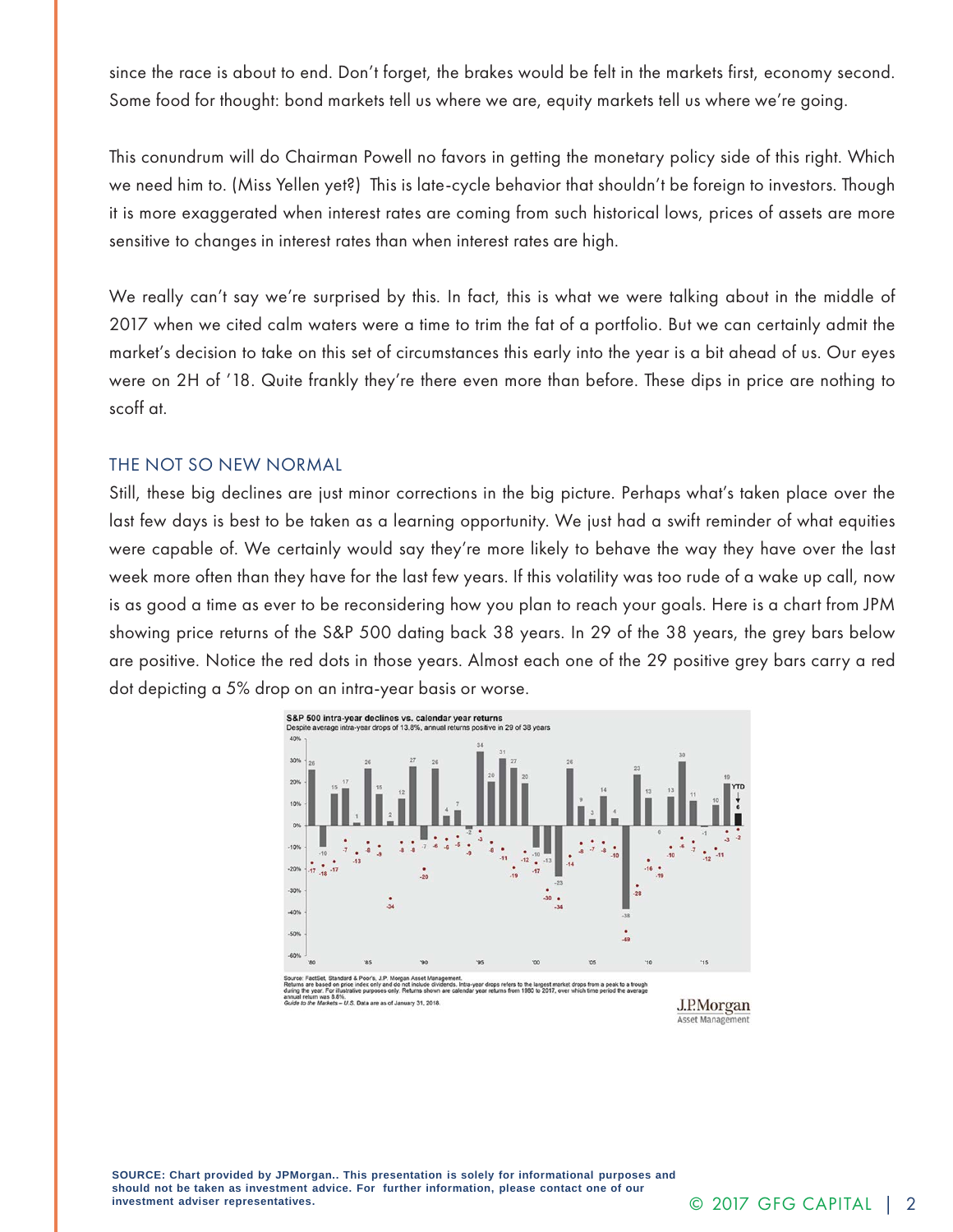since the race is about to end. Don't forget, the brakes would be felt in the markets first, economy second. Some food for thought: bond markets tell us where we are, equity markets tell us where we're going.

This conundrum will do Chairman Powell no favors in getting the monetary policy side of this right. Which we need him to. (Miss Yellen yet?) This is late-cycle behavior that shouldn't be foreign to investors. Though it is more exaggerated when interest rates are coming from such historical lows, prices of assets are more sensitive to changes in interest rates than when interest rates are high.

We really can't say we're surprised by this. In fact, this is what we were talking about in the middle of 2017 when we cited calm waters were a time to trim the fat of a portfolio. But we can certainly admit the market's decision to take on this set of circumstances this early into the year is a bit ahead of us. Our eyes were on 2H of '18. Quite frankly they're there even more than before. These dips in price are nothing to scoff at.

#### THE NOT SO NEW NORMAL

Still, these big declines are just minor corrections in the big picture. Perhaps what's taken place over the last few days is best to be taken as a learning opportunity. We just had a swift reminder of what equities were capable of. We certainly would say they're more likely to behave the way they have over the last week more often than they have for the last few years. If this volatility was too rude of a wake up call, now is as good a time as ever to be reconsidering how you plan to reach your goals. Here is a chart from JPM showing price returns of the S&P 500 dating back 38 years. In 29 of the 38 years, the grey bars below are positive. Notice the red dots in those years. Almost each one of the 29 positive grey bars carry a red dot depicting a 5% drop on an intra-year basis or worse.



%.<br>- U.S. Data are as of January 31, 2018.

J.P.Morgan **Asset Management**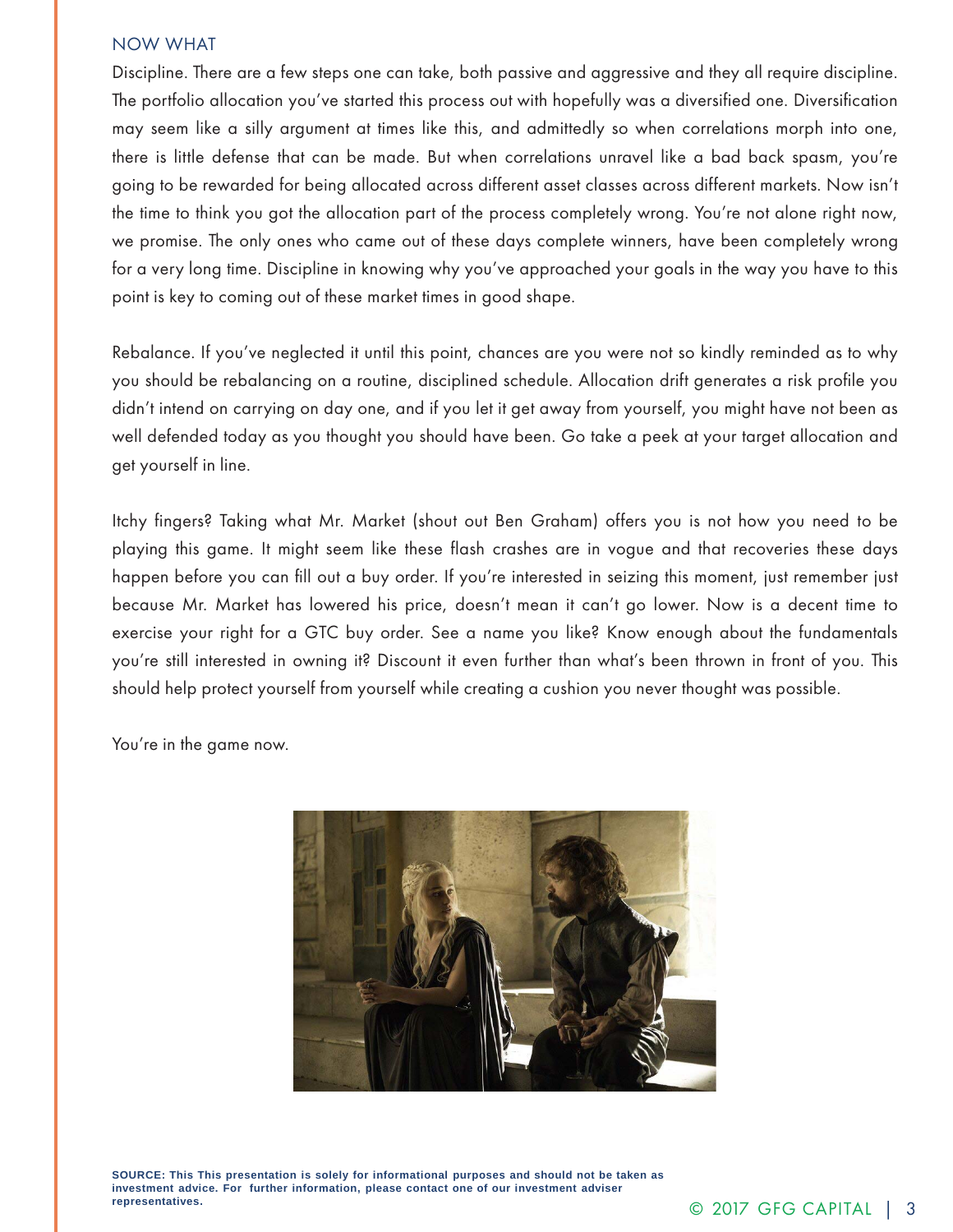### NOW WHAT

Discipline. There are a few steps one can take, both passive and aggressive and they all require discipline. The portfolio allocation you've started this process out with hopefully was a diversified one. Diversification may seem like a silly argument at times like this, and admittedly so when correlations morph into one, there is little defense that can be made. But when correlations unravel like a bad back spasm, you're going to be rewarded for being allocated across different asset classes across different markets. Now isn't the time to think you got the allocation part of the process completely wrong. You're not alone right now, we promise. The only ones who came out of these days complete winners, have been completely wrong for a very long time. Discipline in knowing why you've approached your goals in the way you have to this point is key to coming out of these market times in good shape.

Rebalance. If you've neglected it until this point, chances are you were not so kindly reminded as to why you should be rebalancing on a routine, disciplined schedule. Allocation drift generates a risk profile you didn't intend on carrying on day one, and if you let it get away from yourself, you might have not been as well defended today as you thought you should have been. Go take a peek at your target allocation and get yourself in line.

Itchy fingers? Taking what Mr. Market (shout out Ben Graham) offers you is not how you need to be playing this game. It might seem like these flash crashes are in vogue and that recoveries these days happen before you can fill out a buy order. If you're interested in seizing this moment, just remember just because Mr. Market has lowered his price, doesn't mean it can't go lower. Now is a decent time to exercise your right for a GTC buy order. See a name you like? Know enough about the fundamentals you're still interested in owning it? Discount it even further than what's been thrown in front of you. This should help protect yourself from yourself while creating a cushion you never thought was possible.

You're in the game now.



**SOURCE: This This presentation is solely for informational purposes and should not be taken as investment advice. For further information, please contact one of our investment adviser representatives.**